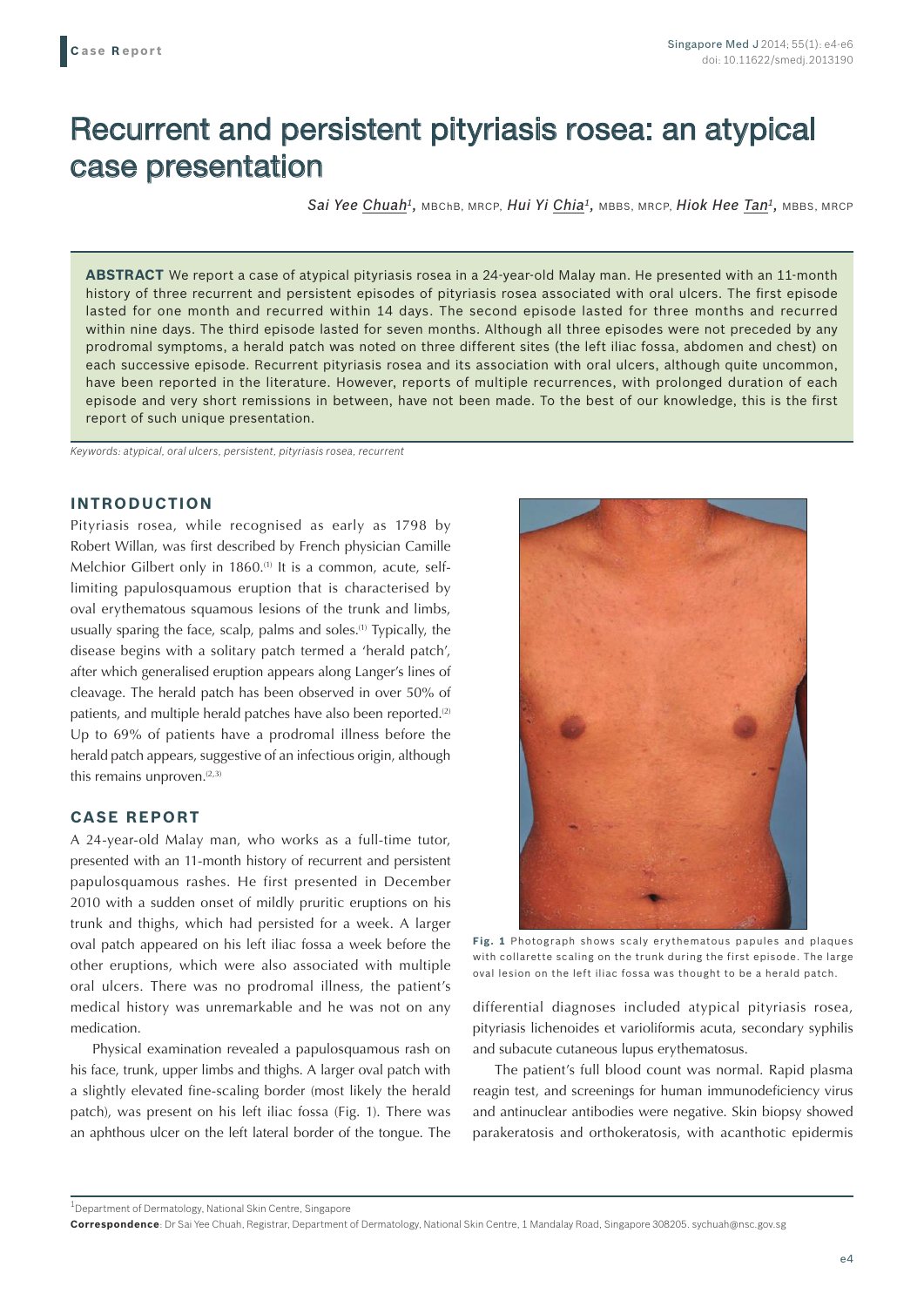# Recurrent and persistent pityriasis rosea: an atypical case presentation

*Sai Yee Chuah1,* MBChB, MRCP, *Hui Yi Chia1,* MBBS, MRCP, *Hiok Hee Tan1,* MBBS, MRCP

**ABSTRACT** We report a case of atypical pityriasis rosea in a 24-year-old Malay man. He presented with an 11-month history of three recurrent and persistent episodes of pityriasis rosea associated with oral ulcers. The first episode lasted for one month and recurred within 14 days. The second episode lasted for three months and recurred within nine days. The third episode lasted for seven months. Although all three episodes were not preceded by any prodromal symptoms, a herald patch was noted on three different sites (the left iliac fossa, abdomen and chest) on each successive episode. Recurrent pityriasis rosea and its association with oral ulcers, although quite uncommon, have been reported in the literature. However, reports of multiple recurrences, with prolonged duration of each episode and very short remissions in between, have not been made. To the best of our knowledge, this is the first report of such unique presentation.

*Keywords: atypical, oral ulcers, persistent, pityriasis rosea, recurrent*

## **INTRODUCTION**

Pityriasis rosea, while recognised as early as 1798 by Robert Willan, was first described by French physician Camille Melchior Gilbert only in 1860.<sup>(1)</sup> It is a common, acute, selflimiting papulosquamous eruption that is characterised by oval erythematous squamous lesions of the trunk and limbs, usually sparing the face, scalp, palms and soles.<sup>(1)</sup> Typically, the disease begins with a solitary patch termed a 'herald patch', after which generalised eruption appears along Langer's lines of cleavage. The herald patch has been observed in over 50% of patients, and multiple herald patches have also been reported.<sup>(2)</sup> Up to 69% of patients have a prodromal illness before the herald patch appears, suggestive of an infectious origin, although this remains unproven. $(2,3)$ 

## **CASE REPORT**

A 24-year-old Malay man, who works as a full-time tutor, presented with an 11-month history of recurrent and persistent papulosquamous rashes. He first presented in December 2010 with a sudden onset of mildly pruritic eruptions on his trunk and thighs, which had persisted for a week. A larger oval patch appeared on his left iliac fossa a week before the other eruptions, which were also associated with multiple oral ulcers. There was no prodromal illness, the patient's medical history was unremarkable and he was not on any medication.

Physical examination revealed a papulosquamous rash on his face, trunk, upper limbs and thighs. A larger oval patch with a slightly elevated fine-scaling border (most likely the herald patch), was present on his left iliac fossa (Fig. 1). There was an aphthous ulcer on the left lateral border of the tongue. The



**Fig. 1** Photograph shows scaly erythematous papules and plaques with collarette scaling on the trunk during the first episode. The large oval lesion on the left iliac fossa was thought to be a herald patch.

differential diagnoses included atypical pityriasis rosea, pityriasis lichenoides et varioliformis acuta, secondary syphilis and subacute cutaneous lupus erythematosus.

The patient's full blood count was normal. Rapid plasma reagin test, and screenings for human immunodeficiency virus and antinuclear antibodies were negative. Skin biopsy showed parakeratosis and orthokeratosis, with acanthotic epidermis

<sup>&</sup>lt;sup>1</sup>Department of Dermatology, National Skin Centre, Singapore

**Correspondence**: Dr Sai Yee Chuah, Registrar, Department of Dermatology, National Skin Centre, 1 Mandalay Road, Singapore 308205. sychuah@nsc.gov.sg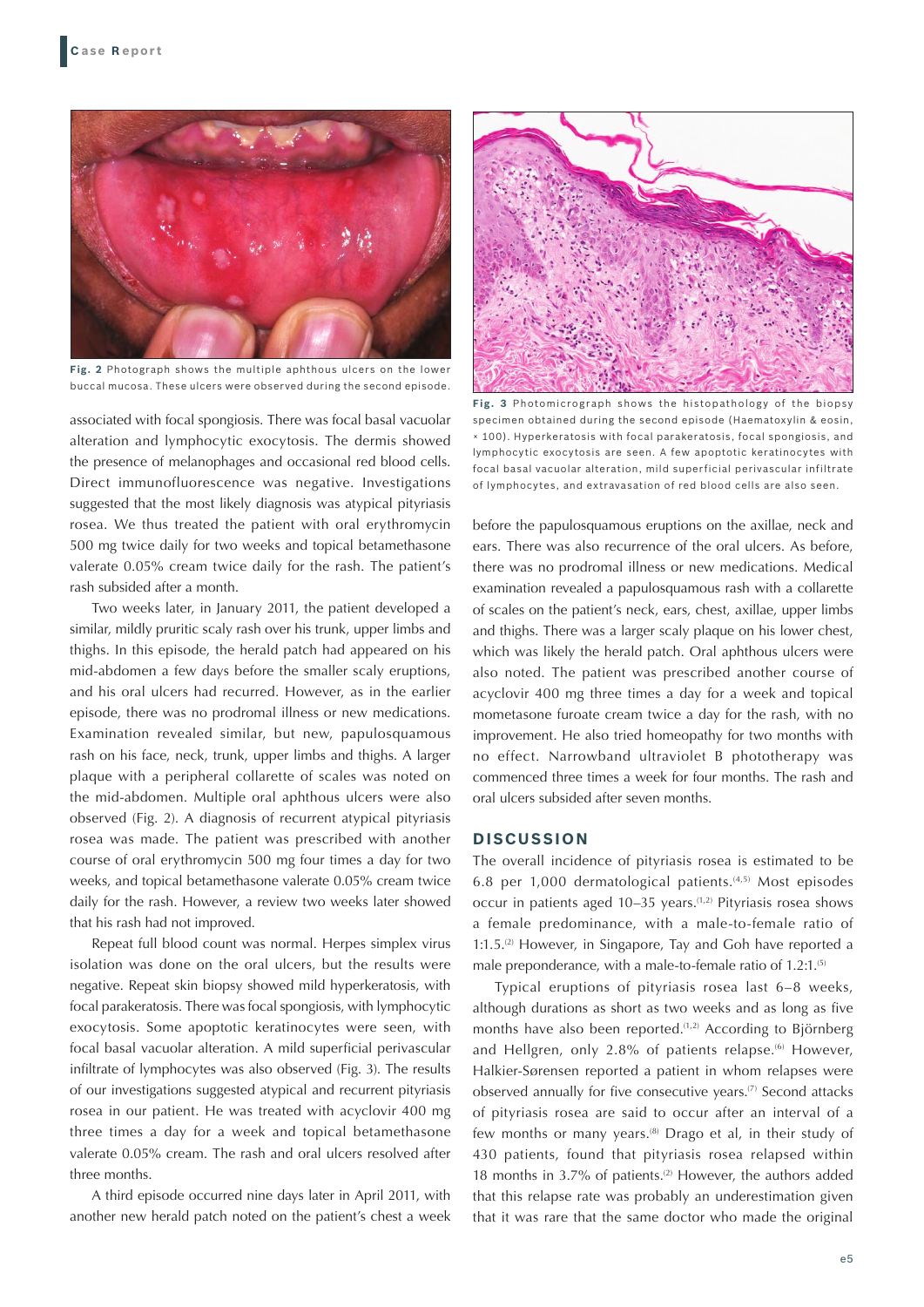

**Fig. 2** Photograph shows the multiple aphthous ulcers on the lower buccal mucosa. These ulcers were observed during the second episode.

associated with focal spongiosis. There was focal basal vacuolar alteration and lymphocytic exocytosis. The dermis showed the presence of melanophages and occasional red blood cells. Direct immunofluorescence was negative. Investigations suggested that the most likely diagnosis was atypical pityriasis rosea. We thus treated the patient with oral erythromycin 500 mg twice daily for two weeks and topical betamethasone valerate 0.05% cream twice daily for the rash. The patient's rash subsided after a month.

Two weeks later, in January 2011, the patient developed a similar, mildly pruritic scaly rash over his trunk, upper limbs and thighs. In this episode, the herald patch had appeared on his mid-abdomen a few days before the smaller scaly eruptions, and his oral ulcers had recurred. However, as in the earlier episode, there was no prodromal illness or new medications. Examination revealed similar, but new, papulosquamous rash on his face, neck, trunk, upper limbs and thighs. A larger plaque with a peripheral collarette of scales was noted on the mid-abdomen. Multiple oral aphthous ulcers were also observed (Fig. 2). A diagnosis of recurrent atypical pityriasis rosea was made. The patient was prescribed with another course of oral erythromycin 500 mg four times a day for two weeks, and topical betamethasone valerate 0.05% cream twice daily for the rash. However, a review two weeks later showed that his rash had not improved.

Repeat full blood count was normal. Herpes simplex virus isolation was done on the oral ulcers, but the results were negative. Repeat skin biopsy showed mild hyperkeratosis, with focal parakeratosis. There was focal spongiosis, with lymphocytic exocytosis. Some apoptotic keratinocytes were seen, with focal basal vacuolar alteration. A mild superficial perivascular infiltrate of lymphocytes was also observed (Fig. 3). The results of our investigations suggested atypical and recurrent pityriasis rosea in our patient. He was treated with acyclovir 400 mg three times a day for a week and topical betamethasone valerate 0.05% cream. The rash and oral ulcers resolved after three months.

A third episode occurred nine days later in April 2011, with another new herald patch noted on the patient's chest a week



**Fig. 3** Photomicrograph shows the histopathology of the biopsy specimen obtained during the second episode (Haematoxylin & eosin, × 100). Hyperkeratosis with focal parakeratosis, focal spongiosis, and lymphocytic exocytosis are seen. A few apoptotic keratinocytes with focal basal vacuolar alteration, mild superficial perivascular infiltrate of lymphocytes, and extravasation of red blood cells are also seen.

before the papulosquamous eruptions on the axillae, neck and ears. There was also recurrence of the oral ulcers. As before, there was no prodromal illness or new medications. Medical examination revealed a papulosquamous rash with a collarette of scales on the patient's neck, ears, chest, axillae, upper limbs and thighs. There was a larger scaly plaque on his lower chest, which was likely the herald patch. Oral aphthous ulcers were also noted. The patient was prescribed another course of acyclovir 400 mg three times a day for a week and topical mometasone furoate cream twice a day for the rash, with no improvement. He also tried homeopathy for two months with no effect. Narrowband ultraviolet B phototherapy was commenced three times a week for four months. The rash and oral ulcers subsided after seven months.

#### **DISCUSSION**

The overall incidence of pityriasis rosea is estimated to be 6.8 per 1,000 dermatological patients.(4,5) Most episodes occur in patients aged  $10-35$  years.<sup> $(1,2)$ </sup> Pityriasis rosea shows a female predominance, with a male-to-female ratio of  $1:1.5<sup>(2)</sup>$  However, in Singapore, Tay and Goh have reported a male preponderance, with a male-to-female ratio of 1.2:1.<sup>(5)</sup>

Typical eruptions of pityriasis rosea last 6–8 weeks, although durations as short as two weeks and as long as five months have also been reported.<sup>(1,2)</sup> According to Björnberg and Hellgren, only 2.8% of patients relapse.<sup>(6)</sup> However, Halkier-Sørensen reported a patient in whom relapses were observed annually for five consecutive years.<sup>(7)</sup> Second attacks of pityriasis rosea are said to occur after an interval of a few months or many years.(8) Drago et al, in their study of 430 patients, found that pityriasis rosea relapsed within 18 months in 3.7% of patients.<sup>(2)</sup> However, the authors added that this relapse rate was probably an underestimation given that it was rare that the same doctor who made the original